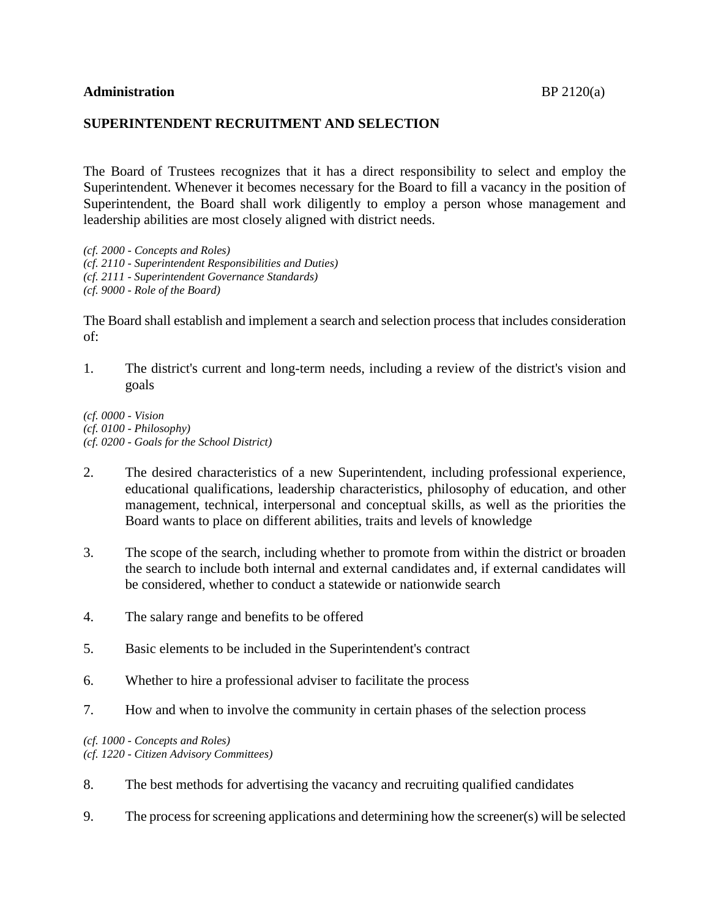## **SUPERINTENDENT RECRUITMENT AND SELECTION**

The Board of Trustees recognizes that it has a direct responsibility to select and employ the Superintendent. Whenever it becomes necessary for the Board to fill a vacancy in the position of Superintendent, the Board shall work diligently to employ a person whose management and leadership abilities are most closely aligned with district needs.

*(cf. 2000 - Concepts and Roles) (cf. 2110 - Superintendent Responsibilities and Duties) (cf. 2111 - Superintendent Governance Standards) (cf. 9000 - Role of the Board)*

The Board shall establish and implement a search and selection process that includes consideration of:

1. The district's current and long-term needs, including a review of the district's vision and goals

*(cf. 0000 - Vision (cf. 0100 - Philosophy) (cf. 0200 - Goals for the School District)*

- 2. The desired characteristics of a new Superintendent, including professional experience, educational qualifications, leadership characteristics, philosophy of education, and other management, technical, interpersonal and conceptual skills, as well as the priorities the Board wants to place on different abilities, traits and levels of knowledge
- 3. The scope of the search, including whether to promote from within the district or broaden the search to include both internal and external candidates and, if external candidates will be considered, whether to conduct a statewide or nationwide search
- 4. The salary range and benefits to be offered
- 5. Basic elements to be included in the Superintendent's contract
- 6. Whether to hire a professional adviser to facilitate the process
- 7. How and when to involve the community in certain phases of the selection process

*(cf. 1000 - Concepts and Roles) (cf. 1220 - Citizen Advisory Committees)*

- 8. The best methods for advertising the vacancy and recruiting qualified candidates
- 9. The process for screening applications and determining how the screener(s) will be selected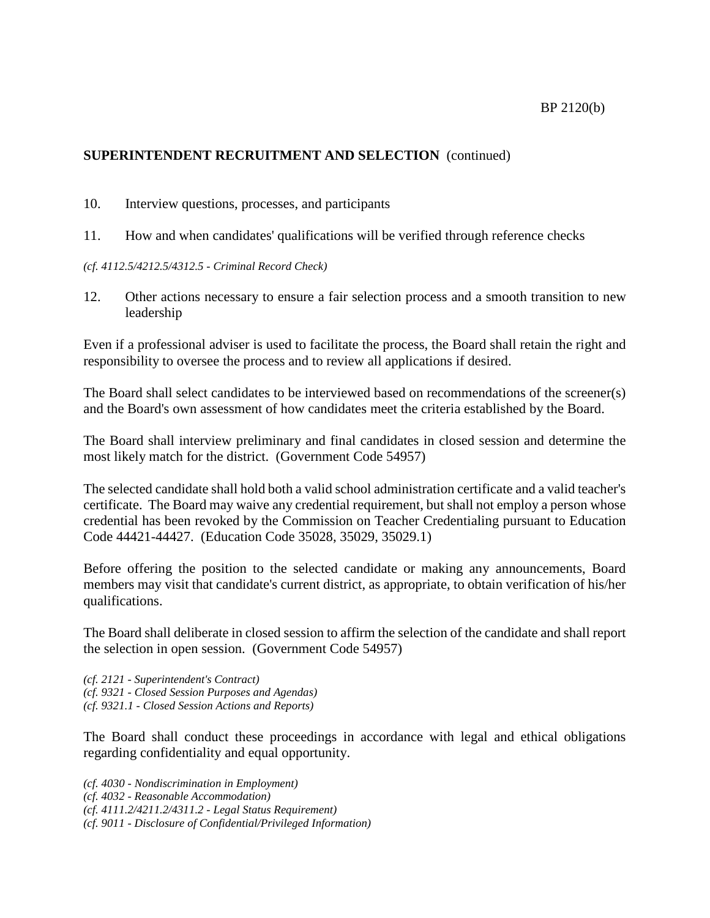## BP 2120(b)

## **SUPERINTENDENT RECRUITMENT AND SELECTION** (continued)

- 10. Interview questions, processes, and participants
- 11. How and when candidates' qualifications will be verified through reference checks
- *(cf. 4112.5/4212.5/4312.5 - Criminal Record Check)*
- 12. Other actions necessary to ensure a fair selection process and a smooth transition to new leadership

Even if a professional adviser is used to facilitate the process, the Board shall retain the right and responsibility to oversee the process and to review all applications if desired.

The Board shall select candidates to be interviewed based on recommendations of the screener(s) and the Board's own assessment of how candidates meet the criteria established by the Board.

The Board shall interview preliminary and final candidates in closed session and determine the most likely match for the district. (Government Code 54957)

The selected candidate shall hold both a valid school administration certificate and a valid teacher's certificate. The Board may waive any credential requirement, but shall not employ a person whose credential has been revoked by the Commission on Teacher Credentialing pursuant to Education Code 44421-44427. (Education Code 35028, 35029, 35029.1)

Before offering the position to the selected candidate or making any announcements, Board members may visit that candidate's current district, as appropriate, to obtain verification of his/her qualifications.

The Board shall deliberate in closed session to affirm the selection of the candidate and shall report the selection in open session. (Government Code 54957)

*(cf. 2121 - Superintendent's Contract) (cf. 9321 - Closed Session Purposes and Agendas) (cf. 9321.1 - Closed Session Actions and Reports)*

The Board shall conduct these proceedings in accordance with legal and ethical obligations regarding confidentiality and equal opportunity.

*(cf. 4030 - Nondiscrimination in Employment) (cf. 4032 - Reasonable Accommodation) (cf. 4111.2/4211.2/4311.2 - Legal Status Requirement) (cf. 9011 - Disclosure of Confidential/Privileged Information)*